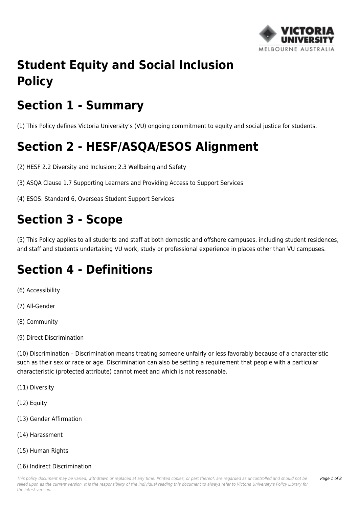

# **Student Equity and Social Inclusion Policy**

# **Section 1 - Summary**

(1) This Policy defines Victoria University's (VU) ongoing commitment to equity and social justice for students.

# **Section 2 - HESF/ASQA/ESOS Alignment**

(2) HESF 2.2 Diversity and Inclusion; 2.3 Wellbeing and Safety

(3) ASQA Clause 1.7 Supporting Learners and Providing Access to Support Services

(4) ESOS: Standard 6, Overseas Student Support Services

# **Section 3 - Scope**

(5) This Policy applies to all students and staff at both domestic and offshore campuses, including student residences, and staff and students undertaking VU work, study or professional experience in places other than VU campuses.

## **Section 4 - Definitions**

(6) Accessibility

(7) All-Gender

(8) Community

(9) Direct Discrimination

(10) Discrimination – Discrimination means treating someone unfairly or less favorably because of a characteristic such as their sex or race or age. Discrimination can also be setting a requirement that people with a particular characteristic (protected attribute) cannot meet and which is not reasonable.

(11) Diversity

(12) Equity

- (13) Gender Affirmation
- (14) Harassment
- (15) Human Rights

#### (16) Indirect Discrimination

This policy document may be varied, withdrawn or replaced at any time. Printed copies, or part thereof, are regarded as uncontrolled and should not be relied upon as the current version. It is the responsibility of the individual reading this document to always refer to Victoria University's Policy Library for the latest version.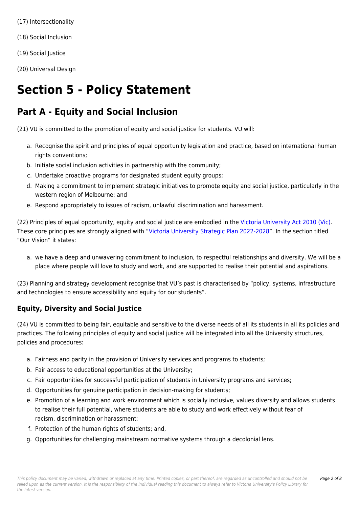- (17) Intersectionality
- (18) Social Inclusion
- (19) Social Justice
- (20) Universal Design

### **Section 5 - Policy Statement**

### **Part A - Equity and Social Inclusion**

(21) VU is committed to the promotion of equity and social justice for students. VU will:

- a. Recognise the spirit and principles of equal opportunity legislation and practice, based on international human rights conventions;
- b. Initiate social inclusion activities in partnership with the community;
- c. Undertake proactive programs for designated student equity groups;
- d. Making a commitment to implement strategic initiatives to promote equity and social justice, particularly in the western region of Melbourne; and
- e. Respond appropriately to issues of racism, unlawful discrimination and harassment.

(22) Principles of equal opportunity, equity and social justice are embodied in the [Victoria University Act 2010 \(Vic\)](https://policy.vu.edu.au/directory/summary.php?legislation=4). These core principles are strongly aligned with "[Victoria University Strategic Plan 2022-2028"](http://policy.vu.edu.au/download.php?id=257&version=1&associated). In the section titled "Our Vision" it states:

a. we have a deep and unwavering commitment to inclusion, to respectful relationships and diversity. We will be a place where people will love to study and work, and are supported to realise their potential and aspirations.

(23) Planning and strategy development recognise that VU's past is characterised by "policy, systems, infrastructure and technologies to ensure accessibility and equity for our students".

### **Equity, Diversity and Social Justice**

(24) VU is committed to being fair, equitable and sensitive to the diverse needs of all its students in all its policies and practices. The following principles of equity and social justice will be integrated into all the University structures, policies and procedures:

- a. Fairness and parity in the provision of University services and programs to students;
- b. Fair access to educational opportunities at the University;
- c. Fair opportunities for successful participation of students in University programs and services;
- d. Opportunities for genuine participation in decision-making for students;
- e. Promotion of a learning and work environment which is socially inclusive, values diversity and allows students to realise their full potential, where students are able to study and work effectively without fear of racism, discrimination or harassment;
- f. Protection of the human rights of students; and,
- g. Opportunities for challenging mainstream normative systems through a decolonial lens.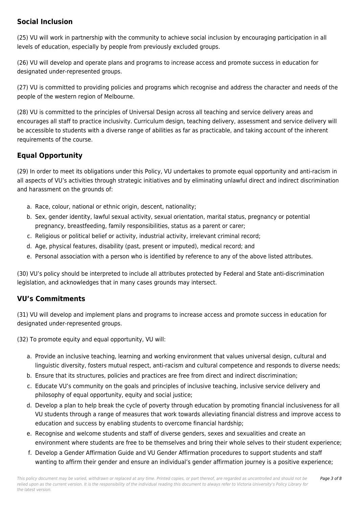#### **Social Inclusion**

(25) VU will work in partnership with the community to achieve social inclusion by encouraging participation in all levels of education, especially by people from previously excluded groups.

(26) VU will develop and operate plans and programs to increase access and promote success in education for designated under-represented groups.

(27) VU is committed to providing policies and programs which recognise and address the character and needs of the people of the western region of Melbourne.

(28) VU is committed to the principles of Universal Design across all teaching and service delivery areas and encourages all staff to practice inclusivity. Curriculum design, teaching delivery, assessment and service delivery will be accessible to students with a diverse range of abilities as far as practicable, and taking account of the inherent requirements of the course.

### **Equal Opportunity**

(29) In order to meet its obligations under this Policy, VU undertakes to promote equal opportunity and anti-racism in all aspects of VU's activities through strategic initiatives and by eliminating unlawful direct and indirect discrimination and harassment on the grounds of:

- a. Race, colour, national or ethnic origin, descent, nationality;
- b. Sex, gender identity, lawful sexual activity, sexual orientation, marital status, pregnancy or potential pregnancy, breastfeeding, family responsibilities, status as a parent or carer;
- c. Religious or political belief or activity, industrial activity, irrelevant criminal record;
- d. Age, physical features, disability (past, present or imputed), medical record; and
- e. Personal association with a person who is identified by reference to any of the above listed attributes.

(30) VU's policy should be interpreted to include all attributes protected by Federal and State anti-discrimination legislation, and acknowledges that in many cases grounds may intersect.

#### **VU's Commitments**

(31) VU will develop and implement plans and programs to increase access and promote success in education for designated under-represented groups.

(32) To promote equity and equal opportunity, VU will:

- a. Provide an inclusive teaching, learning and working environment that values universal design, cultural and linguistic diversity, fosters mutual respect, anti-racism and cultural competence and responds to diverse needs;
- b. Ensure that its structures, policies and practices are free from direct and indirect discrimination;
- c. Educate VU's community on the goals and principles of inclusive teaching, inclusive service delivery and philosophy of equal opportunity, equity and social justice;
- d. Develop a plan to help break the cycle of poverty through education by promoting financial inclusiveness for all VU students through a range of measures that work towards alleviating financial distress and improve access to education and success by enabling students to overcome financial hardship;
- e. Recognise and welcome students and staff of diverse genders, sexes and sexualities and create an environment where students are free to be themselves and bring their whole selves to their student experience;
- f. Develop a Gender Affirmation Guide and VU Gender Affirmation procedures to support students and staff wanting to affirm their gender and ensure an individual's gender affirmation journey is a positive experience;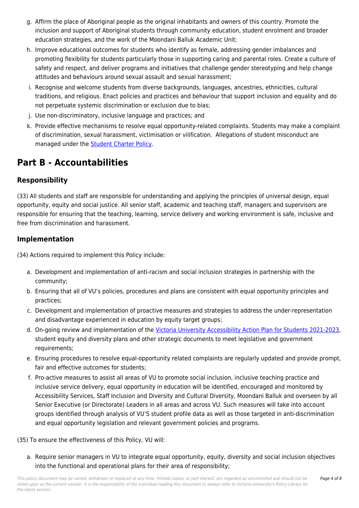- g. Affirm the place of Aboriginal people as the original inhabitants and owners of this country. Promote the inclusion and support of Aboriginal students through community education, student enrolment and broader education strategies, and the work of the Moondani Balluk Academic Unit;
- h. Improve educational outcomes for students who identify as female, addressing gender imbalances and promoting flexibility for students particularly those in supporting caring and parental roles. Create a culture of safety and respect, and deliver programs and initiatives that challenge gender stereotyping and help change attitudes and behaviours around sexual assault and sexual harassment;
- i. Recognise and welcome students from diverse backgrounds, languages, ancestries, ethnicities, cultural traditions, and religious. Enact policies and practices and behaviour that support inclusion and equality and do not perpetuate systemic discrimination or exclusion due to bias;
- j. Use non-discriminatory, inclusive language and practices; and
- k. Provide effective mechanisms to resolve equal opportunity-related complaints. Students may make a complaint of discrimination, sexual harassment, victimisation or vilification. Allegations of student misconduct are managed under the [Student Charter Policy.](https://policy.vu.edu.au/document/view.php?id=99)

### **Part B - Accountabilities**

### **Responsibility**

(33) All students and staff are responsible for understanding and applying the principles of universal design, equal opportunity, equity and social justice. All senior staff, academic and teaching staff, managers and supervisors are responsible for ensuring that the teaching, learning, service delivery and working environment is safe, inclusive and free from discrimination and harassment.

#### **Implementation**

(34) Actions required to implement this Policy include:

- a. Development and implementation of anti-racism and social inclusion strategies in partnership with the community;
- b. Ensuring that all of VU's policies, procedures and plans are consistent with equal opportunity principles and practices;
- c. Development and implementation of proactive measures and strategies to address the under-representation and disadvantage experienced in education by equity target groups;
- d. On-going review and implementation of the [Victoria University Accessibility Action Plan for Students 2021-2023](http://policy.vu.edu.au/download.php?id=863&version=1&associated), student equity and diversity plans and other strategic documents to meet legislative and government requirements;
- e. Ensuring procedures to resolve equal-opportunity related complaints are regularly updated and provide prompt, fair and effective outcomes for students;
- f. Pro-active measures to assist all areas of VU to promote social inclusion, inclusive teaching practice and inclusive service delivery, equal opportunity in education will be identified, encouraged and monitored by Accessibility Services, Staff Inclusion and Diversity and Cultural Diversity, Moondani Balluk and overseen by all Senior Executive (or Directorate) Leaders in all areas and across VU. Such measures will take into account groups identified through analysis of VU'S student profile data as well as those targeted in anti-discrimination and equal opportunity legislation and relevant government policies and programs.
- (35) To ensure the effectiveness of this Policy, VU will:
	- a. Require senior managers in VU to integrate equal opportunity, equity, diversity and social inclusion objectives into the functional and operational plans for their area of responsibility;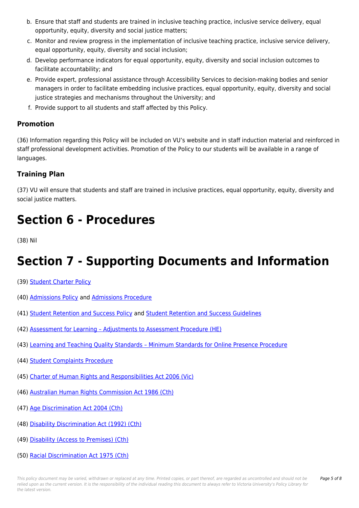- b. Ensure that staff and students are trained in inclusive teaching practice, inclusive service delivery, equal opportunity, equity, diversity and social justice matters;
- c. Monitor and review progress in the implementation of inclusive teaching practice, inclusive service delivery, equal opportunity, equity, diversity and social inclusion;
- d. Develop performance indicators for equal opportunity, equity, diversity and social inclusion outcomes to facilitate accountability; and
- e. Provide expert, professional assistance through Accessibility Services to decision-making bodies and senior managers in order to facilitate embedding inclusive practices, equal opportunity, equity, diversity and social justice strategies and mechanisms throughout the University; and
- f. Provide support to all students and staff affected by this Policy.

#### **Promotion**

(36) Information regarding this Policy will be included on VU's website and in staff induction material and reinforced in staff professional development activities. Promotion of the Policy to our students will be available in a range of languages.

### **Training Plan**

(37) VU will ensure that students and staff are trained in inclusive practices, equal opportunity, equity, diversity and social justice matters.

### **Section 6 - Procedures**

(38) Nil

## **Section 7 - Supporting Documents and Information**

- (39) [Student Charter Policy](https://policy.vu.edu.au/document/view.php?id=99)
- (40) [Admissions Policy](https://policy.vu.edu.au/document/view.php?id=43) and [Admissions Procedure](https://policy.vu.edu.au/document/view.php?id=70)
- (41) [Student Retention and Success Policy](https://policy.vu.edu.au/document/view.php?id=7) and [Student Retention and Success Guidelines](https://policy.vu.edu.au/document/view.php?id=363)
- (42) [Assessment for Learning Adjustments to Assessment Procedure \(HE\)](https://policy.vu.edu.au/document/view.php?id=322)
- (43) [Learning and Teaching Quality Standards Minimum Standards for Online Presence Procedure](https://policy.vu.edu.au/document/view.php?id=329)
- (44) [Student Complaints Procedure](https://policy.vu.edu.au/document/view.php?id=175)
- (45) [Charter of Human Rights and Responsibilities Act 2006 \(Vic\)](https://policy.vu.edu.au/directory/summary.php?legislation=26)
- (46) [Australian Human Rights Commission Act 1986 \(Cth\)](https://policy.vu.edu.au/directory/summary.php?legislation=73)
- (47) [Age Discrimination Act 2004 \(Cth\)](https://policy.vu.edu.au/directory/summary.php?legislation=76)
- (48) [Disability Discrimination Act \(1992\) \(Cth\)](https://policy.vu.edu.au/directory/summary.php?legislation=5)
- (49) [Disability \(Access to Premises\) \(Cth\)](https://policy.vu.edu.au/directory/summary.php?standard=14)
- (50) [Racial Discrimination Act 1975 \(Cth\)](https://policy.vu.edu.au/directory/summary.php?legislation=77)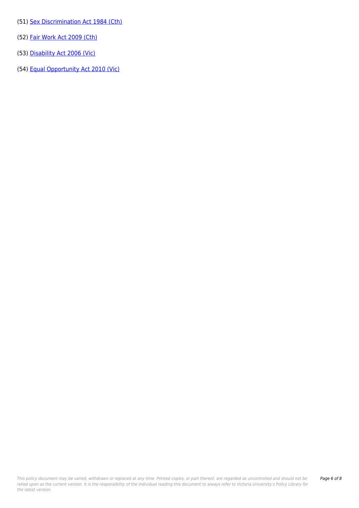- (51) [Sex Discrimination Act 1984 \(Cth\)](https://policy.vu.edu.au/directory/summary.php?legislation=69)
- (52) [Fair Work Act 2009 \(Cth\)](https://policy.vu.edu.au/directory/summary.php?legislation=61)
- (53) [Disability Act 2006 \(Vic\)](https://policy.vu.edu.au/directory/summary.php?legislation=87)
- (54) [Equal Opportunity Act 2010 \(Vic\)](https://policy.vu.edu.au/directory/summary.php?legislation=27)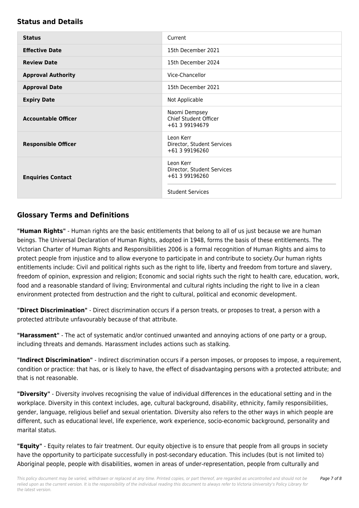#### **Status and Details**

| <b>Status</b>              | Current                                                   |
|----------------------------|-----------------------------------------------------------|
| <b>Effective Date</b>      | 15th December 2021                                        |
| <b>Review Date</b>         | 15th December 2024                                        |
| <b>Approval Authority</b>  | Vice-Chancellor                                           |
| <b>Approval Date</b>       | 15th December 2021                                        |
| <b>Expiry Date</b>         | Not Applicable                                            |
| <b>Accountable Officer</b> | Naomi Dempsey<br>Chief Student Officer<br>+61 3 99194679  |
| <b>Responsible Officer</b> | Leon Kerr<br>Director, Student Services<br>+61 3 99196260 |
| <b>Enquiries Contact</b>   | Leon Kerr<br>Director, Student Services<br>+61 3 99196260 |
|                            | <b>Student Services</b>                                   |

#### **Glossary Terms and Definitions**

**"Human Rights"** - Human rights are the basic entitlements that belong to all of us just because we are human beings. The Universal Declaration of Human Rights, adopted in 1948, forms the basis of these entitlements. The Victorian Charter of Human Rights and Responsibilities 2006 is a formal recognition of Human Rights and aims to protect people from injustice and to allow everyone to participate in and contribute to society.Our human rights entitlements include: Civil and political rights such as the right to life, liberty and freedom from torture and slavery, freedom of opinion, expression and religion; Economic and social rights such the right to health care, education, work, food and a reasonable standard of living; Environmental and cultural rights including the right to live in a clean environment protected from destruction and the right to cultural, political and economic development.

**"Direct Discrimination"** - Direct discrimination occurs if a person treats, or proposes to treat, a person with a protected attribute unfavourably because of that attribute.

**"Harassment"** - The act of systematic and/or continued unwanted and annoying actions of one party or a group, including threats and demands. Harassment includes actions such as stalking.

**"Indirect Discrimination"** - Indirect discrimination occurs if a person imposes, or proposes to impose, a requirement, condition or practice: that has, or is likely to have, the effect of disadvantaging persons with a protected attribute; and that is not reasonable.

**"Diversity"** - Diversity involves recognising the value of individual differences in the educational setting and in the workplace. Diversity in this context includes, age, cultural background, disability, ethnicity, family responsibilities, gender, language, religious belief and sexual orientation. Diversity also refers to the other ways in which people are different, such as educational level, life experience, work experience, socio-economic background, personality and marital status.

**"Equity"** - Equity relates to fair treatment. Our equity objective is to ensure that people from all groups in society have the opportunity to participate successfully in post-secondary education. This includes (but is not limited to) Aboriginal people, people with disabilities, women in areas of under-representation, people from culturally and